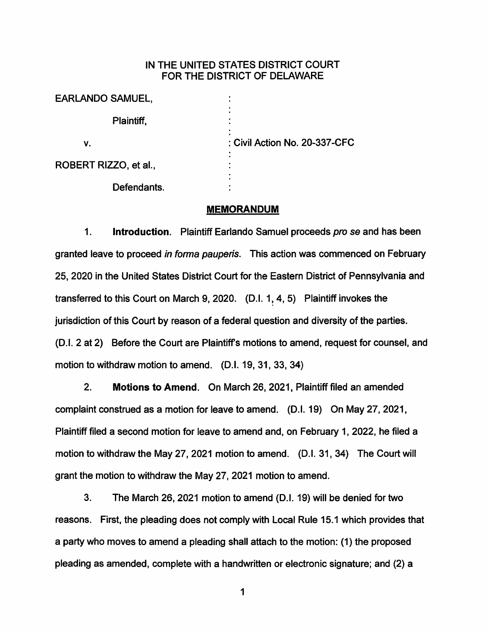## IN THE UNITED STATES DISTRICT COURT FOR THE DISTRICT OF DELAWARE

| <b>EARLANDO SAMUEL,</b> |                               |
|-------------------------|-------------------------------|
| Plaintiff,              |                               |
| v.                      | : Civil Action No. 20-337-CFC |
| ROBERT RIZZO, et al.,   |                               |
| Defendants.             |                               |

#### **MEMORANDUM**

1. **Introduction.** Plaintiff Earlando Samuel proceeds pro se and has been granted leave to proceed in forma pauperis. This action was commenced on February 25, 2020 in the United States District Court for the Eastern District of Pennsylvania and transferred to this Court on March 9, 2020. (D.I. 1, 4, 5) Plaintiff invokes the jurisdiction of this Court by reason of a federal question and diversity of the parties. (D.I. 2 at 2) Before the Court are Plaintiffs motions to amend, request for counsel, and motion to withdraw motion to amend. (D.I. 19, 31, 33, 34)

2. **Motions to Amend.** On March 26, 2021, Plaintiff filed an amended complaint construed as a motion for leave to amend. (D.I. 19) On May 27, 2021, Plaintiff filed a second motion for leave to amend and, on February 1, 2022, he filed a motion to withdraw the May 27, 2021 motion to amend. (D.I. 31, 34) The Court will grant the motion to withdraw the May 27, 2021 motion to amend.

3. The March 26, 2021 motion to amend (D.I. 19) will be denied for two reasons. First, the pleading does not comply with Local Rule 15.1 which provides that a party who moves to amend a pleading shall attach to the motion: (1) the proposed pleading as amended, complete with a handwritten or electronic signature; and (2) a

1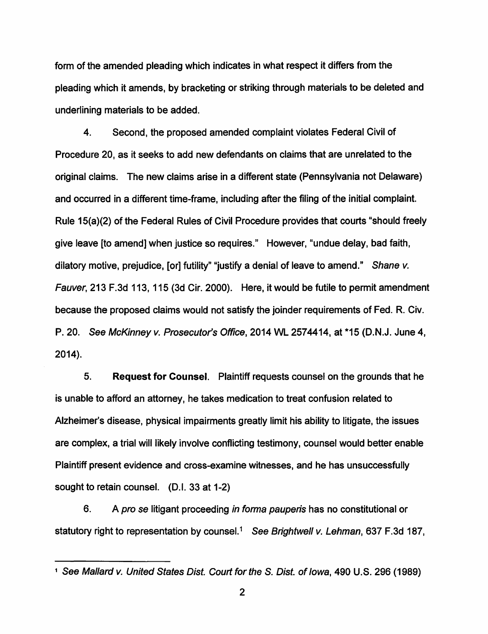form of the amended pleading which indicates in what respect it differs from the pleading which it amends, by bracketing or striking through materials to be deleted and underlining materials to be added.

4. Second, the proposed amended complaint violates Federal Civil of Procedure 20, as it seeks to add new defendants on claims that are unrelated to the original claims. The new claims arise in a different state (Pennsylvania not Delaware) and occurred in a different time-frame, including after the filing of the initial complaint. Rule 15(a)(2) of the Federal Rules of Civil Procedure provides that courts "should freely give leave [to amend] when justice so requires." However, "undue delay, bad faith, dilatory motive, prejudice, [or] futility" "justify a denial of leave to amend." Shane v. Fauver, 213 F.3d 113, 115 (3d Cir. 2000). Here, it would be futile to permit amendment because the proposed claims would not satisfy the joinder requirements of Fed. R. Civ. P. 20. See McKinney v. Prosecutor's Office, 2014 WL 2574414, at \*15 (D.N.J. June 4, 2014).

5. **Request for Counsel.** Plaintiff requests counsel on the grounds that he is unable to afford an attorney, he takes medication to treat confusion related to Alzheimer's disease, physical impairments greatly limit his ability to litigate, the issues are complex, a trial will likely involve conflicting testimony, counsel would better enable Plaintiff present evidence and cross-examine witnesses, and he has unsuccessfully sought to retain counsel. (D.I. 33 at 1-2)

6. A pro se litigant proceeding in forma pauperis has no constitutional or statutory right to representation by counsel.<sup>1</sup> See Brightwell v. Lehman, 637 F.3d 187,

<sup>&</sup>lt;sup>1</sup> See Mallard v. United States Dist. Court for the S. Dist. of Iowa, 490 U.S. 296 (1989)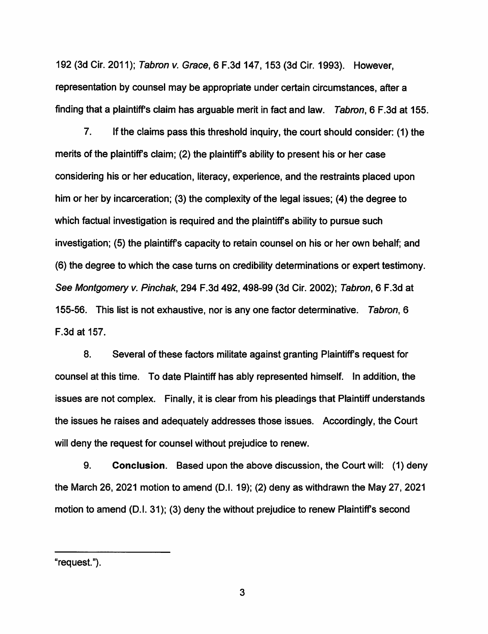192 (3d Cir. 2011); Tabron v. Grace, 6 F.3d 147, 153 (3d Cir. 1993). However, representation by counsel may be appropriate under certain circumstances, after a finding that a plaintiff's claim has arguable merit in fact and law. Tabron, 6 F.3d at 155.

7. If the claims pass this threshold inquiry, the court should consider: (1) the merits of the plaintiffs claim; (2) the plaintiffs ability to present his or her case considering his or her education, literacy, experience, and the restraints placed upon him or her by incarceration; (3) the complexity of the legal issues; (4) the degree to which factual investigation is required and the plaintiff's ability to pursue such investigation; (5) the plaintiffs capacity to retain counsel on his or her own behalf; and (6) the degree to which the case turns on credibility determinations or expert testimony. See Montgomery v. Pinchak, 294 F.3d 492, 498-99 (3d Cir. 2002); Tabron, 6 F.3d at 155-56. This list is not exhaustive, nor is any one factor determinative. Tabron, 6 F.3d at 157.

8. Several of these factors militate against granting Plaintiffs request for counsel at this time. To date Plaintiff has ably represented himself. In addition, the issues are not complex. Finally, it is clear from his pleadings that Plaintiff understands the issues he raises and adequately addresses those issues. Accordingly, the Court will deny the request for counsel without prejudice to renew.

9. **Conclusion.** Based upon the above discussion, the Court will: (1) deny the March 26, 2021 motion to amend (D.I. 19); (2) deny as withdrawn the May 27, 2021 motion to amend (D.I. 31); (3) deny the without prejudice to renew Plaintiffs second

"request.").

3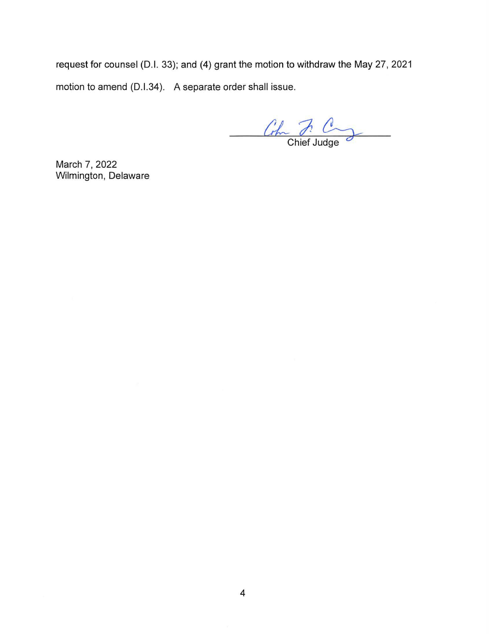request for counsel (D.I. 33); and (4) grant the motion to withdraw the May 27, 2021 motion to amend (D.1.34). A separate order shall issue.

 $\frac{C_{\text{th}}}{\text{Chief Judge}}$ 

March 7, 2022 Wilmington, Delaware